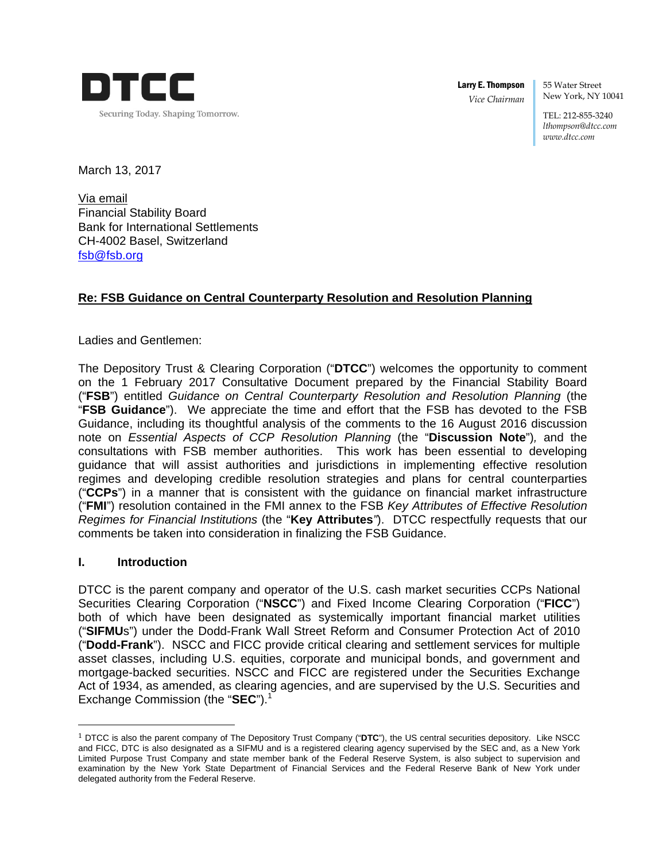

Larry E. Thompson *Vice Chairman* 

55 Water Street New York, NY 10041

TEL: 212-855-3240 *lthompson@dtcc.com www.dtcc.com*

March 13, 2017

Via email Financial Stability Board Bank for International Settlements CH-4002 Basel, Switzerland fsb@fsb.org

# **Re: FSB Guidance on Central Counterparty Resolution and Resolution Planning**

Ladies and Gentlemen:

The Depository Trust & Clearing Corporation ("**DTCC**") welcomes the opportunity to comment on the 1 February 2017 Consultative Document prepared by the Financial Stability Board ("**FSB**") entitled *Guidance on Central Counterparty Resolution and Resolution Planning* (the "**FSB Guidance**"). We appreciate the time and effort that the FSB has devoted to the FSB Guidance, including its thoughtful analysis of the comments to the 16 August 2016 discussion note on *Essential Aspects of CCP Resolution Planning* (the "**Discussion Note**")*,* and the consultations with FSB member authorities. This work has been essential to developing guidance that will assist authorities and jurisdictions in implementing effective resolution regimes and developing credible resolution strategies and plans for central counterparties ("**CCPs**") in a manner that is consistent with the guidance on financial market infrastructure ("**FMI**") resolution contained in the FMI annex to the FSB *Key Attributes of Effective Resolution Regimes for Financial Institutions* (the "**Key Attributes***"*). DTCC respectfully requests that our comments be taken into consideration in finalizing the FSB Guidance.

## **I. Introduction**

 

DTCC is the parent company and operator of the U.S. cash market securities CCPs National Securities Clearing Corporation ("**NSCC**") and Fixed Income Clearing Corporation ("**FICC**") both of which have been designated as systemically important financial market utilities ("**SIFMU**s") under the Dodd-Frank Wall Street Reform and Consumer Protection Act of 2010 ("**Dodd-Frank**"). NSCC and FICC provide critical clearing and settlement services for multiple asset classes, including U.S. equities, corporate and municipal bonds, and government and mortgage-backed securities. NSCC and FICC are registered under the Securities Exchange Act of 1934, as amended, as clearing agencies, and are supervised by the U.S. Securities and Exchange Commission (the "SEC").<sup>1</sup>

<sup>1</sup> DTCC is also the parent company of The Depository Trust Company ("**DTC**"), the US central securities depository. Like NSCC and FICC, DTC is also designated as a SIFMU and is a registered clearing agency supervised by the SEC and, as a New York Limited Purpose Trust Company and state member bank of the Federal Reserve System, is also subject to supervision and examination by the New York State Department of Financial Services and the Federal Reserve Bank of New York under delegated authority from the Federal Reserve.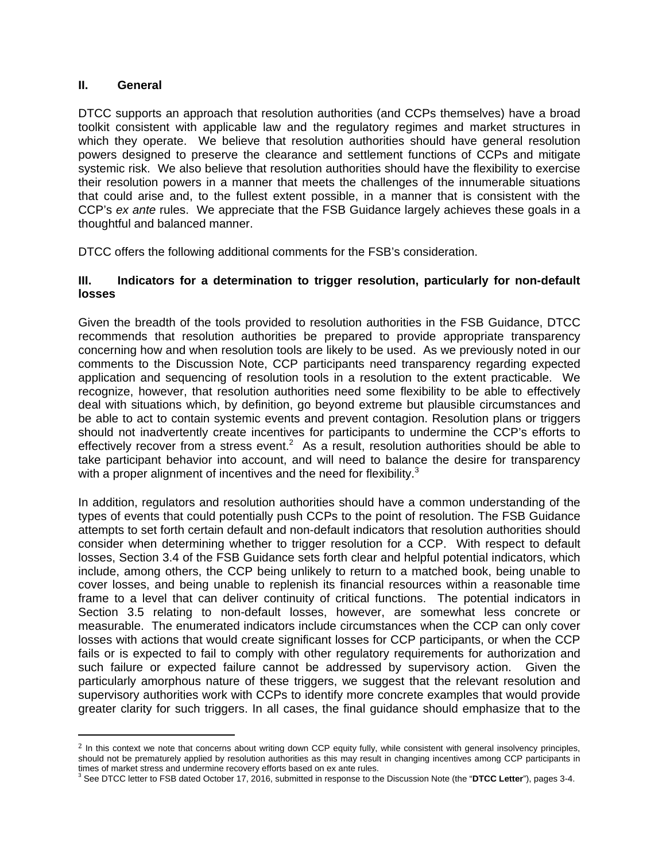#### **II. General**

 

DTCC supports an approach that resolution authorities (and CCPs themselves) have a broad toolkit consistent with applicable law and the regulatory regimes and market structures in which they operate. We believe that resolution authorities should have general resolution powers designed to preserve the clearance and settlement functions of CCPs and mitigate systemic risk. We also believe that resolution authorities should have the flexibility to exercise their resolution powers in a manner that meets the challenges of the innumerable situations that could arise and, to the fullest extent possible, in a manner that is consistent with the CCP's *ex ante* rules. We appreciate that the FSB Guidance largely achieves these goals in a thoughtful and balanced manner.

DTCC offers the following additional comments for the FSB's consideration.

### **III. Indicators for a determination to trigger resolution, particularly for non-default losses**

Given the breadth of the tools provided to resolution authorities in the FSB Guidance, DTCC recommends that resolution authorities be prepared to provide appropriate transparency concerning how and when resolution tools are likely to be used. As we previously noted in our comments to the Discussion Note, CCP participants need transparency regarding expected application and sequencing of resolution tools in a resolution to the extent practicable. We recognize, however, that resolution authorities need some flexibility to be able to effectively deal with situations which, by definition, go beyond extreme but plausible circumstances and be able to act to contain systemic events and prevent contagion. Resolution plans or triggers should not inadvertently create incentives for participants to undermine the CCP's efforts to effectively recover from a stress event.<sup>2</sup> As a result, resolution authorities should be able to take participant behavior into account, and will need to balance the desire for transparency with a proper alignment of incentives and the need for flexibility. $3$ 

In addition, regulators and resolution authorities should have a common understanding of the types of events that could potentially push CCPs to the point of resolution. The FSB Guidance attempts to set forth certain default and non-default indicators that resolution authorities should consider when determining whether to trigger resolution for a CCP. With respect to default losses, Section 3.4 of the FSB Guidance sets forth clear and helpful potential indicators, which include, among others, the CCP being unlikely to return to a matched book, being unable to cover losses, and being unable to replenish its financial resources within a reasonable time frame to a level that can deliver continuity of critical functions. The potential indicators in Section 3.5 relating to non-default losses, however, are somewhat less concrete or measurable. The enumerated indicators include circumstances when the CCP can only cover losses with actions that would create significant losses for CCP participants, or when the CCP fails or is expected to fail to comply with other regulatory requirements for authorization and such failure or expected failure cannot be addressed by supervisory action. Given the particularly amorphous nature of these triggers, we suggest that the relevant resolution and supervisory authorities work with CCPs to identify more concrete examples that would provide greater clarity for such triggers. In all cases, the final guidance should emphasize that to the

<sup>&</sup>lt;sup>2</sup> In this context we note that concerns about writing down CCP equity fully, while consistent with general insolvency principles, should not be prematurely applied by resolution authorities as this may result in changing incentives among CCP participants in times of market stress and undermine recovery efforts based on ex ante rules.

<sup>3</sup> See DTCC letter to FSB dated October 17, 2016, submitted in response to the Discussion Note (the "**DTCC Letter**"), pages 3-4.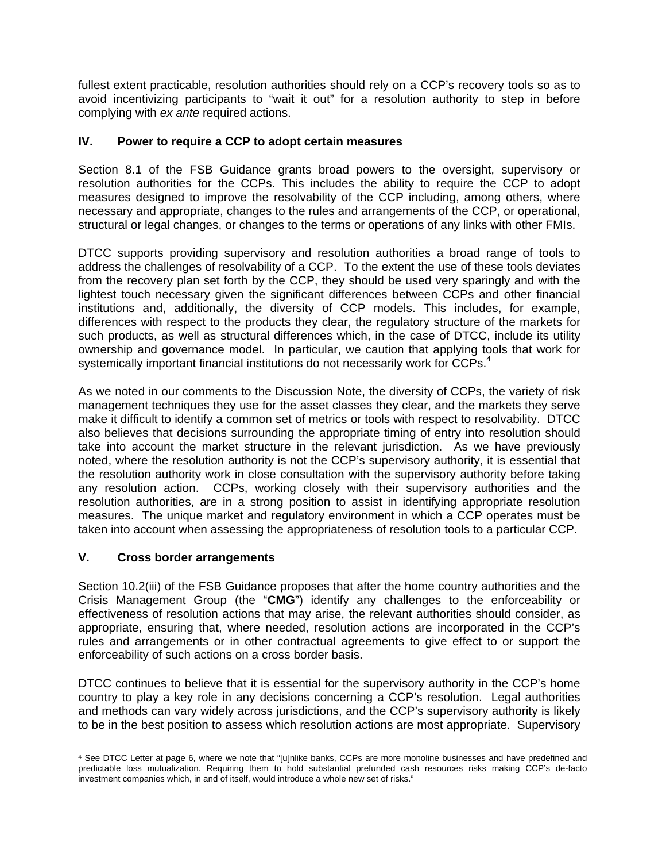fullest extent practicable, resolution authorities should rely on a CCP's recovery tools so as to avoid incentivizing participants to "wait it out" for a resolution authority to step in before complying with *ex ante* required actions.

## **IV. Power to require a CCP to adopt certain measures**

Section 8.1 of the FSB Guidance grants broad powers to the oversight, supervisory or resolution authorities for the CCPs. This includes the ability to require the CCP to adopt measures designed to improve the resolvability of the CCP including, among others, where necessary and appropriate, changes to the rules and arrangements of the CCP, or operational, structural or legal changes, or changes to the terms or operations of any links with other FMIs.

DTCC supports providing supervisory and resolution authorities a broad range of tools to address the challenges of resolvability of a CCP. To the extent the use of these tools deviates from the recovery plan set forth by the CCP, they should be used very sparingly and with the lightest touch necessary given the significant differences between CCPs and other financial institutions and, additionally, the diversity of CCP models. This includes, for example, differences with respect to the products they clear, the regulatory structure of the markets for such products, as well as structural differences which, in the case of DTCC, include its utility ownership and governance model. In particular, we caution that applying tools that work for systemically important financial institutions do not necessarily work for CCPs.<sup>4</sup>

As we noted in our comments to the Discussion Note, the diversity of CCPs, the variety of risk management techniques they use for the asset classes they clear, and the markets they serve make it difficult to identify a common set of metrics or tools with respect to resolvability. DTCC also believes that decisions surrounding the appropriate timing of entry into resolution should take into account the market structure in the relevant jurisdiction. As we have previously noted, where the resolution authority is not the CCP's supervisory authority, it is essential that the resolution authority work in close consultation with the supervisory authority before taking any resolution action. CCPs, working closely with their supervisory authorities and the resolution authorities, are in a strong position to assist in identifying appropriate resolution measures. The unique market and regulatory environment in which a CCP operates must be taken into account when assessing the appropriateness of resolution tools to a particular CCP.

## **V. Cross border arrangements**

 

Section 10.2(iii) of the FSB Guidance proposes that after the home country authorities and the Crisis Management Group (the "**CMG**") identify any challenges to the enforceability or effectiveness of resolution actions that may arise, the relevant authorities should consider, as appropriate, ensuring that, where needed, resolution actions are incorporated in the CCP's rules and arrangements or in other contractual agreements to give effect to or support the enforceability of such actions on a cross border basis.

DTCC continues to believe that it is essential for the supervisory authority in the CCP's home country to play a key role in any decisions concerning a CCP's resolution. Legal authorities and methods can vary widely across jurisdictions, and the CCP's supervisory authority is likely to be in the best position to assess which resolution actions are most appropriate. Supervisory

<sup>4</sup> See DTCC Letter at page 6, where we note that "[u]nlike banks, CCPs are more monoline businesses and have predefined and predictable loss mutualization. Requiring them to hold substantial prefunded cash resources risks making CCP's de-facto investment companies which, in and of itself, would introduce a whole new set of risks."